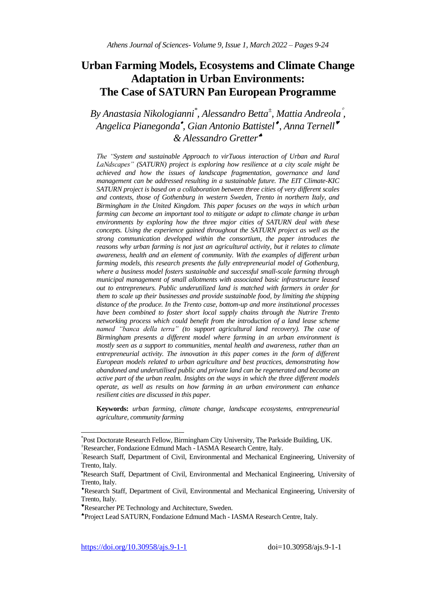# **Urban Farming Models, Ecosystems and Climate Change Adaptation in Urban Environments: The Case of SATURN Pan European Programme**

# *By Anastasia Nikologianni\* , Alessandro Betta<sup>±</sup> , Mattia Andreola , Angelica Pianegonda , Gian Antonio Battistel , Anna Ternell & Alessandro Gretter*

*The "System and sustainable Approach to virTuous interaction of Urban and Rural LaNdscapes" (SATURN) project is exploring how resilience at a city scale might be achieved and how the issues of landscape fragmentation, governance and land management can be addressed resulting in a sustainable future. The EIT Climate-KIC SATURN project is based on a collaboration between three cities of very different scales and contexts, those of Gothenburg in western Sweden, Trento in northern Italy, and Birmingham in the United Kingdom. This paper focuses on the ways in which urban farming can become an important tool to mitigate or adapt to climate change in urban environments by exploring how the three major cities of SATURN deal with these concepts. Using the experience gained throughout the SATURN project as well as the strong communication developed within the consortium, the paper introduces the reasons why urban farming is not just an agricultural activity, but it relates to climate awareness, health and an element of community. With the examples of different urban farming models, this research presents the fully entrepreneurial model of Gothenburg, where a business model fosters sustainable and successful small-scale farming through municipal management of small allotments with associated basic infrastructure leased out to entrepreneurs. Public underutilized land is matched with farmers in order for them to scale up their businesses and provide sustainable food, by limiting the shipping distance of the produce. In the Trento case, bottom-up and more institutional processes have been combined to foster short local supply chains through the Nutrire Trento networking process which could benefit from the introduction of a land lease scheme named "banca della terra" (to support agricultural land recovery). The case of Birmingham presents a different model where farming in an urban environment is mostly seen as a support to communities, mental health and awareness, rather than an entrepreneurial activity. The innovation in this paper comes in the form of different European models related to urban agriculture and best practices, demonstrating how abandoned and underutilised public and private land can be regenerated and become an active part of the urban realm. Insights on the ways in which the three different models operate, as well as results on how farming in an urban environment can enhance resilient cities are discussed in this paper.* 

**Keywords:** *urban farming, climate change, landscape ecosystems, entrepreneurial agriculture, community farming*

 $\overline{a}$ 

<sup>\*</sup> Post Doctorate Research Fellow, Birmingham City University, The Parkside Building, UK. <sup>±</sup>Researcher, Fondazione Edmund Mach - IASMA Research Centre, Italy.

Research Staff, Department of Civil, Environmental and Mechanical Engineering, University of Trento, Italy.

Research Staff, Department of Civil, Environmental and Mechanical Engineering, University of Trento, Italy.

Research Staff, Department of Civil, Environmental and Mechanical Engineering, University of Trento, Italy.

Researcher PE Technology and Architecture, Sweden.

Project Lead SATURN, Fondazione Edmund Mach - IASMA Research Centre, Italy.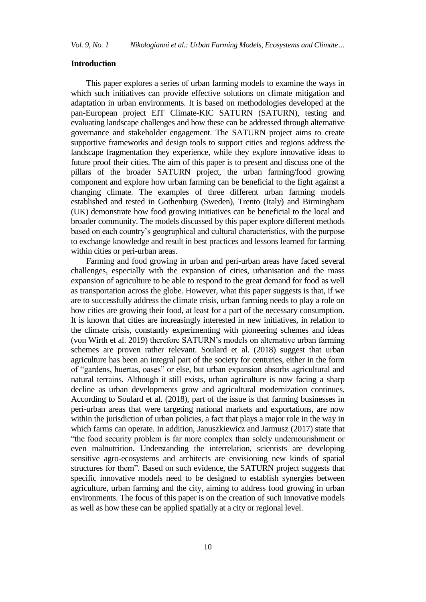### **Introduction**

This paper explores a series of urban farming models to examine the ways in which such initiatives can provide effective solutions on climate mitigation and adaptation in urban environments. It is based on methodologies developed at the pan-European project EIT Climate-KIC SATURN (SATURN), testing and evaluating landscape challenges and how these can be addressed through alternative governance and stakeholder engagement. The SATURN project aims to create supportive frameworks and design tools to support cities and regions address the landscape fragmentation they experience, while they explore innovative ideas to future proof their cities. The aim of this paper is to present and discuss one of the pillars of the broader SATURN project, the urban farming/food growing component and explore how urban farming can be beneficial to the fight against a changing climate. The examples of three different urban farming models established and tested in Gothenburg (Sweden), Trento (Italy) and Birmingham (UK) demonstrate how food growing initiatives can be beneficial to the local and broader community. The models discussed by this paper explore different methods based on each country's geographical and cultural characteristics, with the purpose to exchange knowledge and result in best practices and lessons learned for farming within cities or peri-urban areas.

Farming and food growing in urban and peri-urban areas have faced several challenges, especially with the expansion of cities, urbanisation and the mass expansion of agriculture to be able to respond to the great demand for food as well as transportation across the globe. However, what this paper suggests is that, if we are to successfully address the climate crisis, urban farming needs to play a role on how cities are growing their food, at least for a part of the necessary consumption. It is known that cities are increasingly interested in new initiatives, in relation to the climate crisis, constantly experimenting with pioneering schemes and ideas (von Wirth et al. 2019) therefore SATURN's models on alternative urban farming schemes are proven rather relevant. Soulard et al. (2018) suggest that urban agriculture has been an integral part of the society for centuries, either in the form of "gardens, huertas, oases" or else, but urban expansion absorbs agricultural and natural terrains. Although it still exists, urban agriculture is now facing a sharp decline as urban developments grow and agricultural modernization continues. According to Soulard et al. (2018), part of the issue is that farming businesses in peri-urban areas that were targeting national markets and exportations, are now within the jurisdiction of urban policies, a fact that plays a major role in the way in which farms can operate. In addition, Januszkiewicz and Jarmusz (2017) state that "the food security problem is far more complex than solely undernourishment or even malnutrition. Understanding the interrelation, scientists are developing sensitive agro-ecosystems and architects are envisioning new kinds of spatial structures for them". Based on such evidence, the SATURN project suggests that specific innovative models need to be designed to establish synergies between agriculture, urban farming and the city, aiming to address food growing in urban environments. The focus of this paper is on the creation of such innovative models as well as how these can be applied spatially at a city or regional level.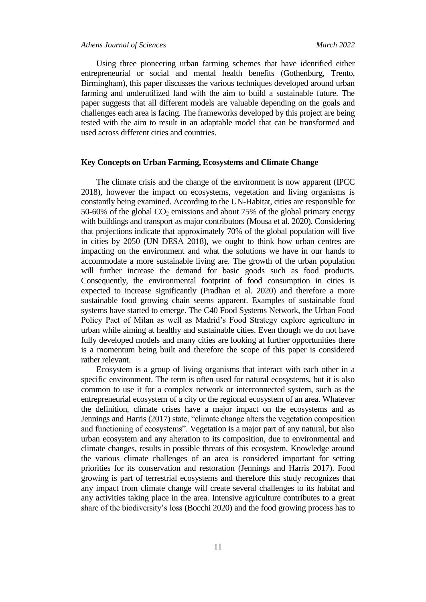### *Athens Journal of Sciences March 2022*

Using three pioneering urban farming schemes that have identified either entrepreneurial or social and mental health benefits (Gothenburg, Trento, Birmingham), this paper discusses the various techniques developed around urban farming and underutilized land with the aim to build a sustainable future. The paper suggests that all different models are valuable depending on the goals and challenges each area is facing. The frameworks developed by this project are being tested with the aim to result in an adaptable model that can be transformed and used across different cities and countries.

## **Key Concepts on Urban Farming, Ecosystems and Climate Change**

The climate crisis and the change of the environment is now apparent (IPCC 2018), however the impact on ecosystems, vegetation and living organisms is constantly being examined. According to the UN-Habitat, cities are responsible for 50-60% of the global  $CO<sub>2</sub>$  emissions and about 75% of the global primary energy with buildings and transport as major contributors (Mousa et al. 2020). Considering that projections indicate that approximately 70% of the global population will live in cities by 2050 (UN DESA 2018), we ought to think how urban centres are impacting on the environment and what the solutions we have in our hands to accommodate a more sustainable living are. The growth of the urban population will further increase the demand for basic goods such as food products. Consequently, the environmental footprint of food consumption in cities is expected to increase significantly (Pradhan et al. 2020) and therefore a more sustainable food growing chain seems apparent. Examples of sustainable food systems have started to emerge. The C40 Food Systems Network, the Urban Food Policy Pact of Milan as well as Madrid's Food Strategy explore agriculture in urban while aiming at healthy and sustainable cities. Even though we do not have fully developed models and many cities are looking at further opportunities there is a momentum being built and therefore the scope of this paper is considered rather relevant.

Ecosystem is a group of living organisms that interact with each other in a specific environment. The term is often used for natural ecosystems, but it is also common to use it for a complex network or interconnected system, such as the entrepreneurial ecosystem of a city or the regional ecosystem of an area. Whatever the definition, climate crises have a major impact on the ecosystems and as Jennings and Harris (2017) state, "climate change alters the vegetation composition and functioning of ecosystems". Vegetation is a major part of any natural, but also urban ecosystem and any alteration to its composition, due to environmental and climate changes, results in possible threats of this ecosystem. Knowledge around the various climate challenges of an area is considered important for setting priorities for its conservation and restoration (Jennings and Harris 2017). Food growing is part of terrestrial ecosystems and therefore this study recognizes that any impact from climate change will create several challenges to its habitat and any activities taking place in the area. Intensive agriculture contributes to a great share of the biodiversity's loss (Bocchi 2020) and the food growing process has to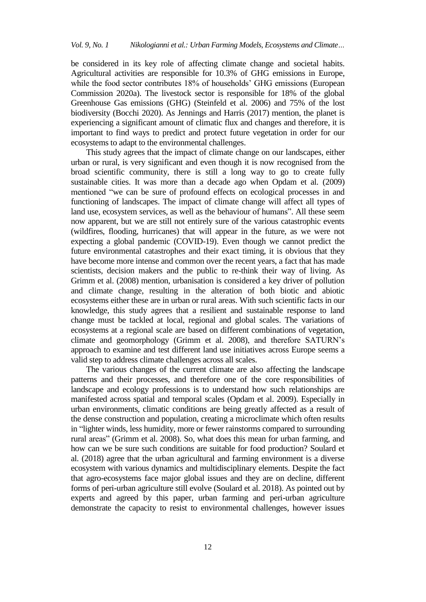be considered in its key role of affecting climate change and societal habits. Agricultural activities are responsible for 10.3% of GHG emissions in Europe, while the food sector contributes 18% of households' GHG emissions (European Commission 2020a). The livestock sector is responsible for 18% of the global Greenhouse Gas emissions (GHG) (Steinfeld et al. 2006) and 75% of the lost biodiversity (Bocchi 2020). As Jennings and Harris (2017) mention, the planet is experiencing a significant amount of climatic flux and changes and therefore, it is important to find ways to predict and protect future vegetation in order for our ecosystems to adapt to the environmental challenges.

This study agrees that the impact of climate change on our landscapes, either urban or rural, is very significant and even though it is now recognised from the broad scientific community, there is still a long way to go to create fully sustainable cities. It was more than a decade ago when Opdam et al. (2009) mentioned "we can be sure of profound effects on ecological processes in and functioning of landscapes. The impact of climate change will affect all types of land use, ecosystem services, as well as the behaviour of humans". All these seem now apparent, but we are still not entirely sure of the various catastrophic events (wildfires, flooding, hurricanes) that will appear in the future, as we were not expecting a global pandemic (COVID-19). Even though we cannot predict the future environmental catastrophes and their exact timing, it is obvious that they have become more intense and common over the recent years, a fact that has made scientists, decision makers and the public to re-think their way of living. As Grimm et al. (2008) mention, urbanisation is considered a key driver of pollution and climate change, resulting in the alteration of both biotic and abiotic ecosystems either these are in urban or rural areas. With such scientific facts in our knowledge, this study agrees that a resilient and sustainable response to land change must be tackled at local, regional and global scales. The variations of ecosystems at a regional scale are based on different combinations of vegetation, climate and geomorphology (Grimm et al. 2008), and therefore SATURN's approach to examine and test different land use initiatives across Europe seems a valid step to address climate challenges across all scales.

The various changes of the current climate are also affecting the landscape patterns and their processes, and therefore one of the core responsibilities of landscape and ecology professions is to understand how such relationships are manifested across spatial and temporal scales (Opdam et al. 2009). Especially in urban environments, climatic conditions are being greatly affected as a result of the dense construction and population, creating a microclimate which often results in "lighter winds, less humidity, more or fewer rainstorms compared to surrounding rural areas" (Grimm et al. 2008). So, what does this mean for urban farming, and how can we be sure such conditions are suitable for food production? Soulard et al. (2018) agree that the urban agricultural and farming environment is a diverse ecosystem with various dynamics and multidisciplinary elements. Despite the fact that agro-ecosystems face major global issues and they are on decline, different forms of peri-urban agriculture still evolve (Soulard et al. 2018). As pointed out by experts and agreed by this paper, urban farming and peri-urban agriculture demonstrate the capacity to resist to environmental challenges, however issues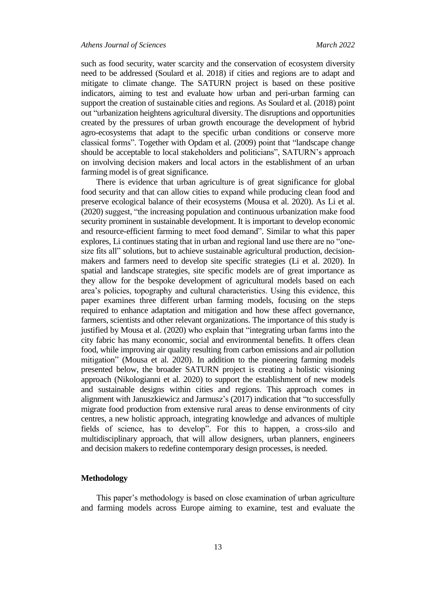such as food security, water scarcity and the conservation of ecosystem diversity need to be addressed (Soulard et al. 2018) if cities and regions are to adapt and mitigate to climate change. The SATURN project is based on these positive indicators, aiming to test and evaluate how urban and peri-urban farming can support the creation of sustainable cities and regions. As Soulard et al. (2018) point out "urbanization heightens agricultural diversity. The disruptions and opportunities created by the pressures of urban growth encourage the development of hybrid agro-ecosystems that adapt to the specific urban conditions or conserve more classical forms". Together with Opdam et al. (2009) point that "landscape change should be acceptable to local stakeholders and politicians", SATURN's approach on involving decision makers and local actors in the establishment of an urban farming model is of great significance.

There is evidence that urban agriculture is of great significance for global food security and that can allow cities to expand while producing clean food and preserve ecological balance of their ecosystems (Mousa et al. 2020). As Li et al. (2020) suggest, "the increasing population and continuous urbanization make food security prominent in sustainable development. It is important to develop economic and resource-efficient farming to meet food demand". Similar to what this paper explores, Li continues stating that in urban and regional land use there are no "onesize fits all" solutions, but to achieve sustainable agricultural production, decisionmakers and farmers need to develop site specific strategies (Li et al. 2020). In spatial and landscape strategies, site specific models are of great importance as they allow for the bespoke development of agricultural models based on each area's policies, topography and cultural characteristics. Using this evidence, this paper examines three different urban farming models, focusing on the steps required to enhance adaptation and mitigation and how these affect governance, farmers, scientists and other relevant organizations. The importance of this study is justified by Mousa et al. (2020) who explain that "integrating urban farms into the city fabric has many economic, social and environmental benefits. It offers clean food, while improving air quality resulting from carbon emissions and air pollution mitigation" (Mousa et al. 2020). In addition to the pioneering farming models presented below, the broader SATURN project is creating a holistic visioning approach (Nikologianni et al. 2020) to support the establishment of new models and sustainable designs within cities and regions. This approach comes in alignment with Januszkiewicz and Jarmusz's (2017) indication that "to successfully migrate food production from extensive rural areas to dense environments of city centres, a new holistic approach, integrating knowledge and advances of multiple fields of science, has to develop". For this to happen, a cross-silo and multidisciplinary approach, that will allow designers, urban planners, engineers and decision makers to redefine contemporary design processes, is needed.

## **Methodology**

This paper's methodology is based on close examination of urban agriculture and farming models across Europe aiming to examine, test and evaluate the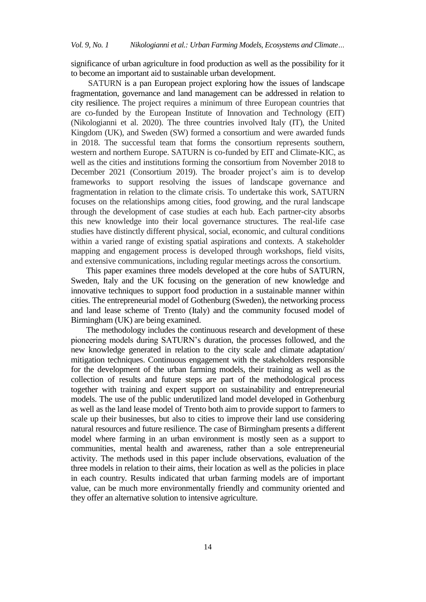significance of urban agriculture in food production as well as the possibility for it to become an important aid to sustainable urban development.

SATURN is a pan European project exploring how the issues of landscape fragmentation, governance and land management can be addressed in relation to city resilience. The project requires a minimum of three European countries that are co-funded by the European Institute of Innovation and Technology (EIT) (Nikologianni et al. 2020). The three countries involved Italy (IT), the United Kingdom (UK), and Sweden (SW) formed a consortium and were awarded funds in 2018. The successful team that forms the consortium represents southern, western and northern Europe. SATURN is co-funded by EIT and Climate-KIC, as well as the cities and institutions forming the consortium from November 2018 to December 2021 (Consortium 2019). The broader project's aim is to develop frameworks to support resolving the issues of landscape governance and fragmentation in relation to the climate crisis. To undertake this work, SATURN focuses on the relationships among cities, food growing, and the rural landscape through the development of case studies at each hub. Each partner-city absorbs this new knowledge into their local governance structures. The real-life case studies have distinctly different physical, social, economic, and cultural conditions within a varied range of existing spatial aspirations and contexts. A stakeholder mapping and engagement process is developed through workshops, field visits, and extensive communications, including regular meetings across the consortium.

This paper examines three models developed at the core hubs of SATURN, Sweden, Italy and the UK focusing on the generation of new knowledge and innovative techniques to support food production in a sustainable manner within cities. The entrepreneurial model of Gothenburg (Sweden), the networking process and land lease scheme of Trento (Italy) and the community focused model of Birmingham (UK) are being examined.

The methodology includes the continuous research and development of these pioneering models during SATURN's duration, the processes followed, and the new knowledge generated in relation to the city scale and climate adaptation/ mitigation techniques. Continuous engagement with the stakeholders responsible for the development of the urban farming models, their training as well as the collection of results and future steps are part of the methodological process together with training and expert support on sustainability and entrepreneurial models. The use of the public underutilized land model developed in Gothenburg as well as the land lease model of Trento both aim to provide support to farmers to scale up their businesses, but also to cities to improve their land use considering natural resources and future resilience. The case of Birmingham presents a different model where farming in an urban environment is mostly seen as a support to communities, mental health and awareness, rather than a sole entrepreneurial activity. The methods used in this paper include observations, evaluation of the three models in relation to their aims, their location as well as the policies in place in each country. Results indicated that urban farming models are of important value, can be much more environmentally friendly and community oriented and they offer an alternative solution to intensive agriculture.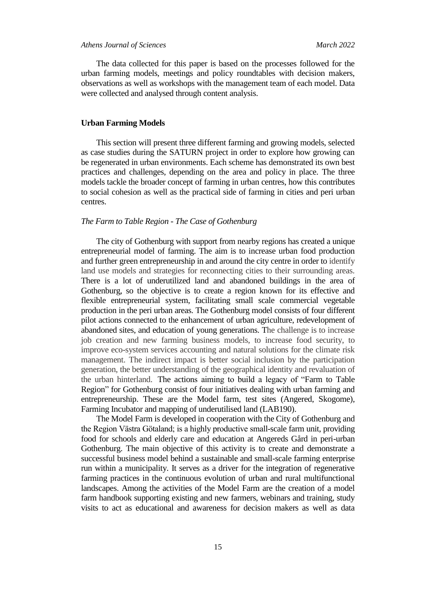The data collected for this paper is based on the processes followed for the urban farming models, meetings and policy roundtables with decision makers, observations as well as workshops with the management team of each model. Data were collected and analysed through content analysis.

# **Urban Farming Models**

This section will present three different farming and growing models, selected as case studies during the SATURN project in order to explore how growing can be regenerated in urban environments. Each scheme has demonstrated its own best practices and challenges, depending on the area and policy in place. The three models tackle the broader concept of farming in urban centres, how this contributes to social cohesion as well as the practical side of farming in cities and peri urban centres.

### *The Farm to Table Region - The Case of Gothenburg*

The city of Gothenburg with support from nearby regions has created a unique entrepreneurial model of farming. The aim is to increase urban food production and further green entrepreneurship in and around the city centre in order to identify land use models and strategies for reconnecting cities to their surrounding areas. There is a lot of underutilized land and abandoned buildings in the area of Gothenburg, so the objective is to create a region known for its effective and flexible entrepreneurial system, facilitating small scale commercial vegetable production in the peri urban areas. The Gothenburg model consists of four different pilot actions connected to the enhancement of urban agriculture, redevelopment of abandoned sites, and education of young generations. The challenge is to increase job creation and new farming business models, to increase food security, to improve eco-system services accounting and natural solutions for the climate risk management. The indirect impact is better social inclusion by the participation generation, the better understanding of the geographical identity and revaluation of the urban hinterland. The actions aiming to build a legacy of "Farm to Table Region" for Gothenburg consist of four initiatives dealing with urban farming and entrepreneurship. These are the Model farm, test sites (Angered, Skogome), Farming Incubator and mapping of underutilised land (LAB190).

The Model Farm is developed in cooperation with the City of Gothenburg and the Region Västra Götaland; is a highly productive small-scale farm unit, providing food for schools and elderly care and education at Angereds Gård in peri-urban Gothenburg. The main objective of this activity is to create and demonstrate a successful business model behind a sustainable and small-scale farming enterprise run within a municipality. It serves as a driver for the integration of regenerative farming practices in the continuous evolution of urban and rural multifunctional landscapes. Among the activities of the Model Farm are the creation of a model farm handbook supporting existing and new farmers, webinars and training, study visits to act as educational and awareness for decision makers as well as data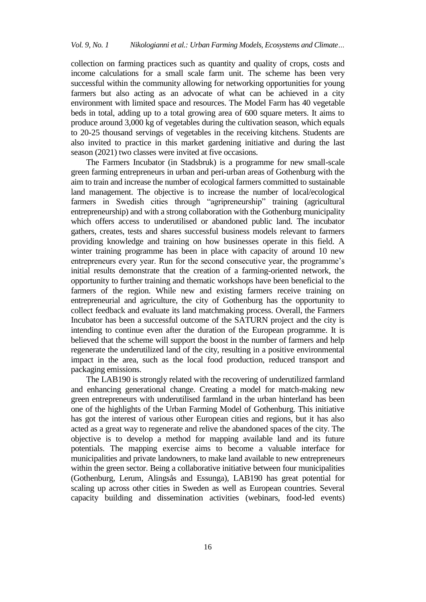collection on farming practices such as quantity and quality of crops, costs and income calculations for a small scale farm unit. The scheme has been very successful within the community allowing for networking opportunities for young farmers but also acting as an advocate of what can be achieved in a city environment with limited space and resources. The Model Farm has 40 vegetable beds in total, adding up to a total growing area of 600 square meters. It aims to produce around 3,000 kg of vegetables during the cultivation season, which equals to 20-25 thousand servings of vegetables in the receiving kitchens. Students are also invited to practice in this market gardening initiative and during the last season (2021) two classes were invited at five occasions.

The Farmers Incubator (in Stadsbruk) is a programme for new small-scale green farming entrepreneurs in urban and peri-urban areas of Gothenburg with the aim to train and increase the number of ecological farmers committed to sustainable land management. The objective is to increase the number of local/ecological farmers in Swedish cities through "agripreneurship" training (agricultural entrepreneurship) and with a strong collaboration with the Gothenburg municipality which offers access to underutilised or abandoned public land. The incubator gathers, creates, tests and shares successful business models relevant to farmers providing knowledge and training on how businesses operate in this field. A winter training programme has been in place with capacity of around 10 new entrepreneurs every year. Run for the second consecutive year, the programme's initial results demonstrate that the creation of a farming-oriented network, the opportunity to further training and thematic workshops have been beneficial to the farmers of the region. While new and existing farmers receive training on entrepreneurial and agriculture, the city of Gothenburg has the opportunity to collect feedback and evaluate its land matchmaking process. Overall, the Farmers Incubator has been a successful outcome of the SATURN project and the city is intending to continue even after the duration of the European programme. It is believed that the scheme will support the boost in the number of farmers and help regenerate the underutilized land of the city, resulting in a positive environmental impact in the area, such as the local food production, reduced transport and packaging emissions.

The LAB190 is strongly related with the recovering of underutilized farmland and enhancing generational change. Creating a model for match-making new green entrepreneurs with underutilised farmland in the urban hinterland has been one of the highlights of the Urban Farming Model of Gothenburg. This initiative has got the interest of various other European cities and regions, but it has also acted as a great way to regenerate and relive the abandoned spaces of the city. The objective is to develop a method for mapping available land and its future potentials. The mapping exercise aims to become a valuable interface for municipalities and private landowners, to make land available to new entrepreneurs within the green sector. Being a collaborative initiative between four municipalities (Gothenburg, Lerum, Alingsås and Essunga), LAB190 has great potential for scaling up across other cities in Sweden as well as European countries. Several capacity building and dissemination activities (webinars, food-led events)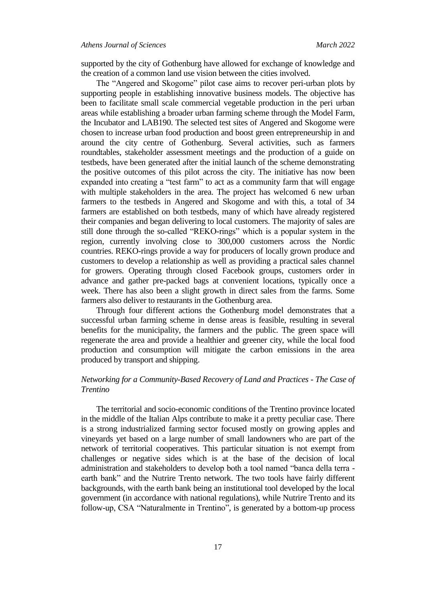supported by the city of Gothenburg have allowed for exchange of knowledge and the creation of a common land use vision between the cities involved.

The "Angered and Skogome" pilot case aims to recover peri-urban plots by supporting people in establishing innovative business models. The objective has been to facilitate small scale commercial vegetable production in the peri urban areas while establishing a broader urban farming scheme through the Model Farm, the Incubator and LAB190. The selected test sites of Angered and Skogome were chosen to increase urban food production and boost green entrepreneurship in and around the city centre of Gothenburg. Several activities, such as farmers roundtables, stakeholder assessment meetings and the production of a guide on testbeds, have been generated after the initial launch of the scheme demonstrating the positive outcomes of this pilot across the city. The initiative has now been expanded into creating a "test farm" to act as a community farm that will engage with multiple stakeholders in the area. The project has welcomed 6 new urban farmers to the testbeds in Angered and Skogome and with this, a total of 34 farmers are established on both testbeds, many of which have already registered their companies and began delivering to local customers. The majority of sales are still done through the so-called "REKO-rings" which is a popular system in the region, currently involving close to 300,000 customers across the Nordic countries. REKO-rings provide a way for producers of locally grown produce and customers to develop a relationship as well as providing a practical sales channel for growers. Operating through closed Facebook groups, customers order in advance and gather pre-packed bags at convenient locations, typically once a week. There has also been a slight growth in direct sales from the farms. Some farmers also deliver to restaurants in the Gothenburg area.

Through four different actions the Gothenburg model demonstrates that a successful urban farming scheme in dense areas is feasible, resulting in several benefits for the municipality, the farmers and the public. The green space will regenerate the area and provide a healthier and greener city, while the local food production and consumption will mitigate the carbon emissions in the area produced by transport and shipping.

# *Networking for a Community-Based Recovery of Land and Practices - The Case of Trentino*

The territorial and socio-economic conditions of the Trentino province located in the middle of the Italian Alps contribute to make it a pretty peculiar case. There is a strong industrialized farming sector focused mostly on growing apples and vineyards yet based on a large number of small landowners who are part of the network of territorial cooperatives. This particular situation is not exempt from challenges or negative sides which is at the base of the decision of local administration and stakeholders to develop both a tool named "banca della terra earth bank" and the Nutrire Trento network. The two tools have fairly different backgrounds, with the earth bank being an institutional tool developed by the local government (in accordance with national regulations), while Nutrire Trento and its follow-up, CSA "Naturalmente in Trentino", is generated by a bottom-up process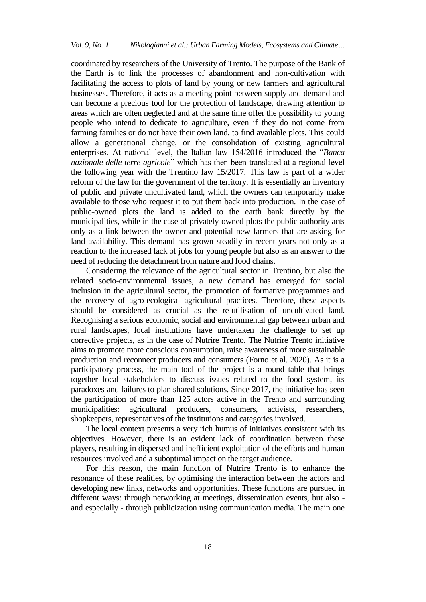coordinated by researchers of the University of Trento. The purpose of the Bank of the Earth is to link the processes of abandonment and non-cultivation with facilitating the access to plots of land by young or new farmers and agricultural businesses. Therefore, it acts as a meeting point between supply and demand and can become a precious tool for the protection of landscape, drawing attention to areas which are often neglected and at the same time offer the possibility to young people who intend to dedicate to agriculture, even if they do not come from farming families or do not have their own land, to find available plots. This could allow a generational change, or the consolidation of existing agricultural enterprises. At national level, the Italian law 154/2016 introduced the "*Banca nazionale delle terre agricole*" which has then been translated at a regional level the following year with the Trentino law 15/2017. This law is part of a wider reform of the law for the government of the territory. It is essentially an inventory of public and private uncultivated land, which the owners can temporarily make available to those who request it to put them back into production. In the case of public-owned plots the land is added to the earth bank directly by the municipalities, while in the case of privately-owned plots the public authority acts only as a link between the owner and potential new farmers that are asking for land availability. This demand has grown steadily in recent years not only as a reaction to the increased lack of jobs for young people but also as an answer to the need of reducing the detachment from nature and food chains.

Considering the relevance of the agricultural sector in Trentino, but also the related socio-environmental issues, a new demand has emerged for social inclusion in the agricultural sector, the promotion of formative programmes and the recovery of agro-ecological agricultural practices. Therefore, these aspects should be considered as crucial as the re-utilisation of uncultivated land. Recognising a serious economic, social and environmental gap between urban and rural landscapes, local institutions have undertaken the challenge to set up corrective projects, as in the case of Nutrire Trento. The Nutrire Trento initiative aims to promote more conscious consumption, raise awareness of more sustainable production and reconnect producers and consumers (Forno et al. 2020). As it is a participatory process, the main tool of the project is a round table that brings together local stakeholders to discuss issues related to the food system, its paradoxes and failures to plan shared solutions. Since 2017, the initiative has seen the participation of more than 125 actors active in the Trento and surrounding municipalities: agricultural producers, consumers, activists, researchers, shopkeepers, representatives of the institutions and categories involved.

The local context presents a very rich humus of initiatives consistent with its objectives. However, there is an evident lack of coordination between these players, resulting in dispersed and inefficient exploitation of the efforts and human resources involved and a suboptimal impact on the target audience.

For this reason, the main function of Nutrire Trento is to enhance the resonance of these realities, by optimising the interaction between the actors and developing new links, networks and opportunities. These functions are pursued in different ways: through networking at meetings, dissemination events, but also and especially - through publicization using communication media. The main one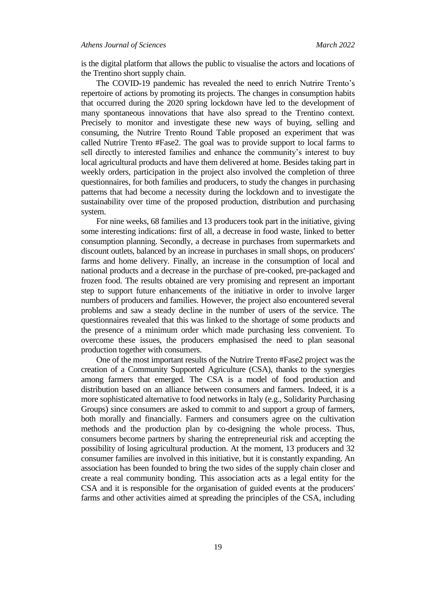### *Athens Journal of Sciences March 2022*

is the digital platform that allows the public to visualise the actors and locations of the Trentino short supply chain.

The COVID-19 pandemic has revealed the need to enrich Nutrire Trento's repertoire of actions by promoting its projects. The changes in consumption habits that occurred during the 2020 spring lockdown have led to the development of many spontaneous innovations that have also spread to the Trentino context. Precisely to monitor and investigate these new ways of buying, selling and consuming, the Nutrire Trento Round Table proposed an experiment that was called Nutrire Trento #Fase2. The goal was to provide support to local farms to sell directly to interested families and enhance the community's interest to buy local agricultural products and have them delivered at home. Besides taking part in weekly orders, participation in the project also involved the completion of three questionnaires, for both families and producers, to study the changes in purchasing patterns that had become a necessity during the lockdown and to investigate the sustainability over time of the proposed production, distribution and purchasing system.

For nine weeks, 68 families and 13 producers took part in the initiative, giving some interesting indications: first of all, a decrease in food waste, linked to better consumption planning. Secondly, a decrease in purchases from supermarkets and discount outlets, balanced by an increase in purchases in small shops, on producers' farms and home delivery. Finally, an increase in the consumption of local and national products and a decrease in the purchase of pre-cooked, pre-packaged and frozen food. The results obtained are very promising and represent an important step to support future enhancements of the initiative in order to involve larger numbers of producers and families. However, the project also encountered several problems and saw a steady decline in the number of users of the service. The questionnaires revealed that this was linked to the shortage of some products and the presence of a minimum order which made purchasing less convenient. To overcome these issues, the producers emphasised the need to plan seasonal production together with consumers.

One of the most important results of the Nutrire Trento #Fase2 project was the creation of a Community Supported Agriculture (CSA), thanks to the synergies among farmers that emerged. The CSA is a model of food production and distribution based on an alliance between consumers and farmers. Indeed, it is a more sophisticated alternative to food networks in Italy (e.g., Solidarity Purchasing Groups) since consumers are asked to commit to and support a group of farmers, both morally and financially. Farmers and consumers agree on the cultivation methods and the production plan by co-designing the whole process. Thus, consumers become partners by sharing the entrepreneurial risk and accepting the possibility of losing agricultural production. At the moment, 13 producers and 32 consumer families are involved in this initiative, but it is constantly expanding. An association has been founded to bring the two sides of the supply chain closer and create a real community bonding. This association acts as a legal entity for the CSA and it is responsible for the organisation of guided events at the producers' farms and other activities aimed at spreading the principles of the CSA, including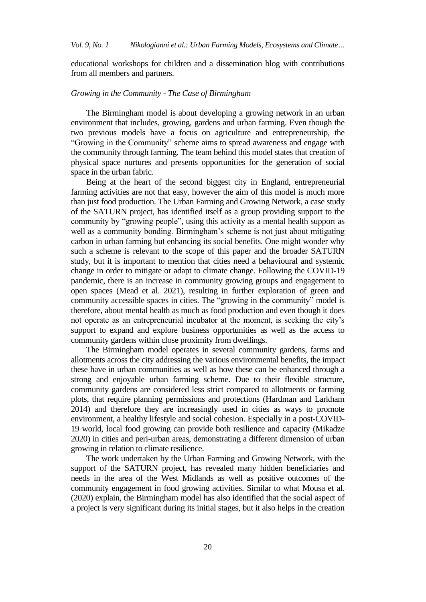educational workshops for children and a dissemination blog with contributions from all members and partners.

## *Growing in the Community - The Case of Birmingham*

The Birmingham model is about developing a growing network in an urban environment that includes, growing, gardens and urban farming. Even though the two previous models have a focus on agriculture and entrepreneurship, the "Growing in the Community" scheme aims to spread awareness and engage with the community through farming. The team behind this model states that creation of physical space nurtures and presents opportunities for the generation of social space in the urban fabric.

Being at the heart of the second biggest city in England, entrepreneurial farming activities are not that easy, however the aim of this model is much more than just food production. The Urban Farming and Growing Network, a case study of the SATURN project, has identified itself as a group providing support to the community by "growing people", using this activity as a mental health support as well as a community bonding. Birmingham's scheme is not just about mitigating carbon in urban farming but enhancing its social benefits. One might wonder why such a scheme is relevant to the scope of this paper and the broader SATURN study, but it is important to mention that cities need a behavioural and systemic change in order to mitigate or adapt to climate change. Following the COVID-19 pandemic, there is an increase in community growing groups and engagement to open spaces (Mead et al. 2021), resulting in further exploration of green and community accessible spaces in cities. The "growing in the community" model is therefore, about mental health as much as food production and even though it does not operate as an entrepreneurial incubator at the moment, is seeking the city's support to expand and explore business opportunities as well as the access to community gardens within close proximity from dwellings.

The Birmingham model operates in several community gardens, farms and allotments across the city addressing the various environmental benefits, the impact these have in urban communities as well as how these can be enhanced through a strong and enjoyable urban farming scheme. Due to their flexible structure, community gardens are considered less strict compared to allotments or farming plots, that require planning permissions and protections (Hardman and Larkham 2014) and therefore they are increasingly used in cities as ways to promote environment, a healthy lifestyle and social cohesion. Especially in a post-COVID-19 world, local food growing can provide both resilience and capacity (Mikadze 2020) in cities and peri-urban areas, demonstrating a different dimension of urban growing in relation to climate resilience.

The work undertaken by the Urban Farming and Growing Network, with the support of the SATURN project, has revealed many hidden beneficiaries and needs in the area of the West Midlands as well as positive outcomes of the community engagement in food growing activities. Similar to what Mousa et al. (2020) explain, the Birmingham model has also identified that the social aspect of a project is very significant during its initial stages, but it also helps in the creation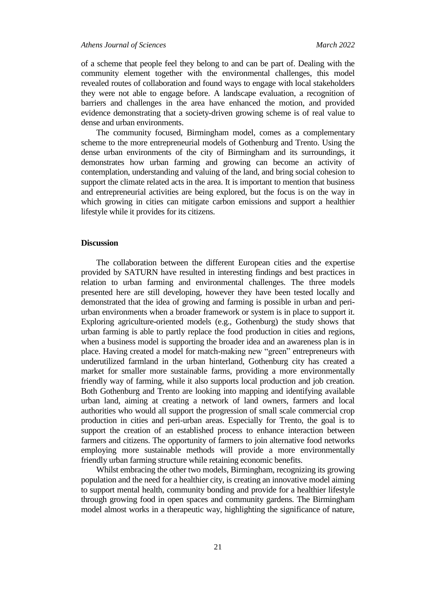of a scheme that people feel they belong to and can be part of. Dealing with the community element together with the environmental challenges, this model revealed routes of collaboration and found ways to engage with local stakeholders they were not able to engage before. A landscape evaluation, a recognition of barriers and challenges in the area have enhanced the motion, and provided evidence demonstrating that a society-driven growing scheme is of real value to dense and urban environments.

The community focused, Birmingham model, comes as a complementary scheme to the more entrepreneurial models of Gothenburg and Trento. Using the dense urban environments of the city of Birmingham and its surroundings, it demonstrates how urban farming and growing can become an activity of contemplation, understanding and valuing of the land, and bring social cohesion to support the climate related acts in the area. It is important to mention that business and entrepreneurial activities are being explored, but the focus is on the way in which growing in cities can mitigate carbon emissions and support a healthier lifestyle while it provides for its citizens.

### **Discussion**

The collaboration between the different European cities and the expertise provided by SATURN have resulted in interesting findings and best practices in relation to urban farming and environmental challenges. The three models presented here are still developing, however they have been tested locally and demonstrated that the idea of growing and farming is possible in urban and periurban environments when a broader framework or system is in place to support it. Exploring agriculture-oriented models (e.g., Gothenburg) the study shows that urban farming is able to partly replace the food production in cities and regions, when a business model is supporting the broader idea and an awareness plan is in place. Having created a model for match-making new "green" entrepreneurs with underutilized farmland in the urban hinterland, Gothenburg city has created a market for smaller more sustainable farms, providing a more environmentally friendly way of farming, while it also supports local production and job creation. Both Gothenburg and Trento are looking into mapping and identifying available urban land, aiming at creating a network of land owners, farmers and local authorities who would all support the progression of small scale commercial crop production in cities and peri-urban areas. Especially for Trento, the goal is to support the creation of an established process to enhance interaction between farmers and citizens. The opportunity of farmers to join alternative food networks employing more sustainable methods will provide a more environmentally friendly urban farming structure while retaining economic benefits.

Whilst embracing the other two models, Birmingham, recognizing its growing population and the need for a healthier city, is creating an innovative model aiming to support mental health, community bonding and provide for a healthier lifestyle through growing food in open spaces and community gardens. The Birmingham model almost works in a therapeutic way, highlighting the significance of nature,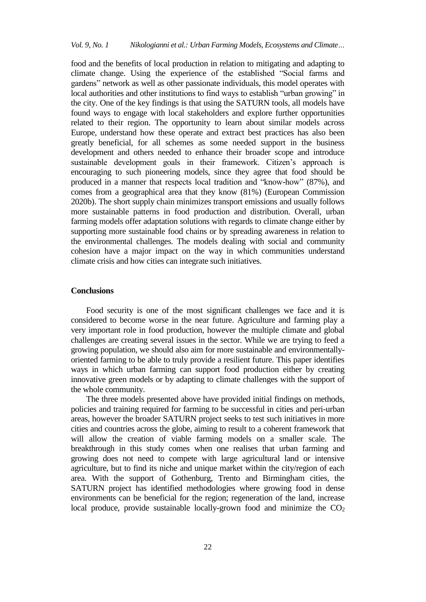food and the benefits of local production in relation to mitigating and adapting to climate change. Using the experience of the established "Social farms and gardens" network as well as other passionate individuals, this model operates with local authorities and other institutions to find ways to establish "urban growing" in the city. One of the key findings is that using the SATURN tools, all models have found ways to engage with local stakeholders and explore further opportunities related to their region. The opportunity to learn about similar models across Europe, understand how these operate and extract best practices has also been greatly beneficial, for all schemes as some needed support in the business development and others needed to enhance their broader scope and introduce sustainable development goals in their framework. Citizen's approach is encouraging to such pioneering models, since they agree that food should be produced in a manner that respects local tradition and "know-how" (87%), and comes from a geographical area that they know (81%) (European Commission 2020b). The short supply chain minimizes transport emissions and usually follows more sustainable patterns in food production and distribution. Overall, urban farming models offer adaptation solutions with regards to climate change either by supporting more sustainable food chains or by spreading awareness in relation to the environmental challenges. The models dealing with social and community cohesion have a major impact on the way in which communities understand climate crisis and how cities can integrate such initiatives.

### **Conclusions**

Food security is one of the most significant challenges we face and it is considered to become worse in the near future. Agriculture and farming play a very important role in food production, however the multiple climate and global challenges are creating several issues in the sector. While we are trying to feed a growing population, we should also aim for more sustainable and environmentallyoriented farming to be able to truly provide a resilient future. This paper identifies ways in which urban farming can support food production either by creating innovative green models or by adapting to climate challenges with the support of the whole community.

The three models presented above have provided initial findings on methods, policies and training required for farming to be successful in cities and peri-urban areas, however the broader SATURN project seeks to test such initiatives in more cities and countries across the globe, aiming to result to a coherent framework that will allow the creation of viable farming models on a smaller scale. The breakthrough in this study comes when one realises that urban farming and growing does not need to compete with large agricultural land or intensive agriculture, but to find its niche and unique market within the city/region of each area. With the support of Gothenburg, Trento and Birmingham cities, the SATURN project has identified methodologies where growing food in dense environments can be beneficial for the region; regeneration of the land, increase local produce, provide sustainable locally-grown food and minimize the  $CO<sub>2</sub>$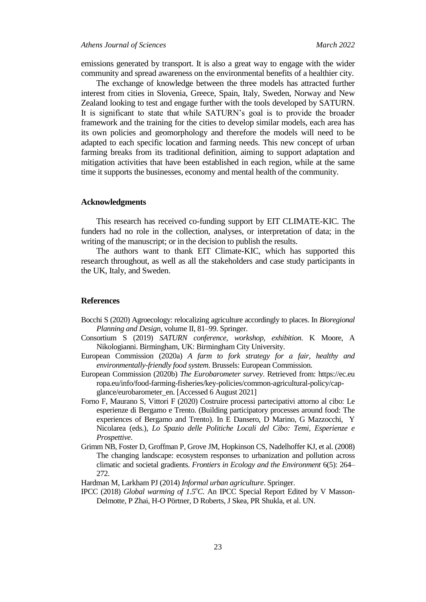### *Athens Journal of Sciences March 2022*

emissions generated by transport. It is also a great way to engage with the wider community and spread awareness on the environmental benefits of a healthier city.

The exchange of knowledge between the three models has attracted further interest from cities in Slovenia, Greece, Spain, Italy, Sweden, Norway and New Zealand looking to test and engage further with the tools developed by SATURN. It is significant to state that while SATURN's goal is to provide the broader framework and the training for the cities to develop similar models, each area has its own policies and geomorphology and therefore the models will need to be adapted to each specific location and farming needs. This new concept of urban farming breaks from its traditional definition, aiming to support adaptation and mitigation activities that have been established in each region, while at the same time it supports the businesses, economy and mental health of the community.

#### **Acknowledgments**

This research has received co-funding support by EIT CLIMATE-KIC. The funders had no role in the collection, analyses, or interpretation of data; in the writing of the manuscript; or in the decision to publish the results.

The authors want to thank EIT Climate-KIC, which has supported this research throughout, as well as all the stakeholders and case study participants in the UK, Italy, and Sweden.

#### **References**

- Bocchi S (2020) Agroecology: relocalizing agriculture accordingly to places. In *Bioregional Planning and Design*, volume II, 81–99. Springer.
- Consortium S (2019) *SATURN conference, workshop, exhibition*. K Moore, A Nikologianni. Birmingham, UK: Birmingham City University.
- European Commission (2020a) *A farm to fork strategy for a fair, healthy and environmentally-friendly food system*. Brussels: European Commission.
- European Commission (2020b) *The Eurobarometer survey*. Retrieved from: https://ec.eu ropa.eu/info/food-farming-fisheries/key-policies/common-agricultural-policy/capglance/eurobarometer\_en. [Accessed 6 August 2021]
- Forno F, Maurano S, Vittori F (2020) Costruire processi partecipativi attorno al cibo: Le esperienze di Bergamo e Trento. (Building participatory processes around food: The experiences of Bergamo and Trento). In E Dansero, D Marino, G Mazzocchi, Y Nicolarea (eds.), *Lo Spazio delle Politiche Locali del Cibo: Temi, Esperienze e Prospettive*.
- Grimm NB, Foster D, Groffman P, Grove JM, Hopkinson CS, Nadelhoffer KJ, et al. (2008) The changing landscape: ecosystem responses to urbanization and pollution across climatic and societal gradients. *Frontiers in Ecology and the Environment* 6(5): 264– 272.
- Hardman M, Larkham PJ (2014) *Informal urban agriculture*. Springer.
- IPCC (2018) *Global warming of 1.5<sup>o</sup>C*. An IPCC Special Report Edited by V Masson-Delmotte, P Zhai, H-O Pörtner, D Roberts, J Skea, PR Shukla, et al. UN.